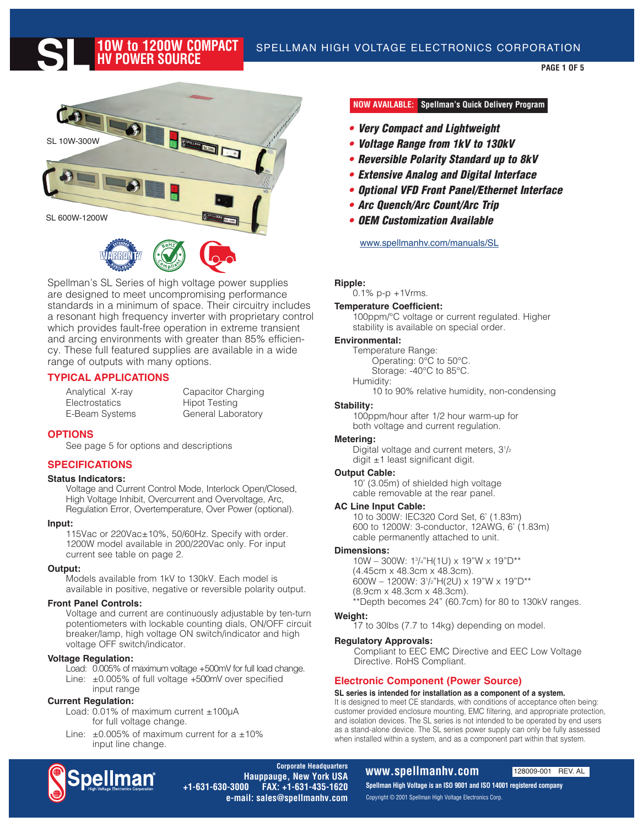**PAGE 1 OF 5**



**HV POWER SOURCE**

Spellman's SL Series of high voltage power supplies are designed to meet uncompromising performance standards in a minimum of space. Their circuitry includes a resonant high frequency inverter with proprietary control which provides fault-free operation in extreme transient and arcing environments with greater than 85% efficiency. These full featured supplies are available in a wide range of outputs with many options.

#### **TYPICAL APPLICATIONS**

Electrostatics Hipot Testing

Analytical X-ray Capacitor Charging E-Beam Systems **General Laboratory** 

### **OPTIONS**

See page 5 for options and descriptions

## **SPECIFICATIONS**

#### **Status Indicators:**

Voltage and Current Control Mode, Interlock Open/Closed, High Voltage Inhibit, Overcurrent and Overvoltage, Arc, Regulation Error, Overtemperature, Over Power (optional).

#### **Input:**

115Vac or 220Vac±10%, 50/60Hz. Specify with order. 1200W model available in 200/220Vac only. For input current see table on page 2.

#### **Output:**

Models available from 1kV to 130kV. Each model is available in positive, negative or reversible polarity output.

#### **Front Panel Controls:**

Voltage and current are continuously adjustable by ten-turn potentiometers with lockable counting dials, ON/OFF circuit breaker/lamp, high voltage ON switch/indicator and high voltage OFF switch/indicator.

#### **Voltage Regulation:**

Load: 0.005% of maximum voltage +500mV for full load change. Line: ±0.005% of full voltage +500mV over specified input range

# **Current Regulation:**

Load: 0.01% of maximum current ±100μA for full voltage change.

Line:  $\pm 0.005\%$  of maximum current for a  $\pm 10\%$ input line change.

#### **NOW AVAILABLE: Spellman's Quick Delivery Program**

- **• Very Compact and Lightweight**
- **• Voltage Range from 1kV to 130kV**
- **• Reversible Polarity Standard up to 8kV**
- **• Extensive Analog and Digital Interface**
- **• Optional VFD Front Panel/Ethernet Interface**
- **• Arc Quench/Arc Count/Arc Trip**
- **• OEM Customization Available**

www.spellmanhv.com/manuals/SL

#### **Ripple:**

 $0.1\%$  p-p +1Vrms.

# **Temperature Coefficient:**

100ppm/°C voltage or current regulated. Higher stability is available on special order.

# **Environmental:**

Temperature Range: Operating: 0°C to 50°C.

Storage: -40°C to 85°C. Humidity:

10 to 90% relative humidity, non-condensing

#### **Stability:**

100ppm/hour after 1/2 hour warm-up for both voltage and current regulation.

#### **Metering:**

Digital voltage and current meters,  $3^{1}/_{2}$ digit ±1 least significant digit.

#### **Output Cable:**

10' (3.05m) of shielded high voltage cable removable at the rear panel.

#### **AC Line Input Cable:**

10 to 300W: IEC320 Cord Set, 6' (1.83m) 600 to 1200W: 3-conductor, 12AWG, 6' (1.83m) cable permanently attached to unit.

#### **Dimensions:**

10W – 300W: 13 /4"H(1U) x 19"W x 19"D\*\* (4.45cm x 48.3cm x 48.3cm). 600W – 1200W: 31 /2"H(2U) x 19"W x 19"D\*\* (8.9cm x 48.3cm x 48.3cm). \*\*Depth becomes 24" (60.7cm) for 80 to 130kV ranges.

#### **Weight:**

17 to 30lbs (7.7 to 14kg) depending on model.

#### **Regulatory Approvals:**

Compliant to EEC EMC Directive and EEC Low Voltage Directive. RoHS Compliant.

### **Electronic Component (Power Source)**

### **SL series is intended for installation as a component of a system.**

It is designed to meet CE standards, with conditions of acceptance often being: customer provided enclosure mounting, EMC filtering, and appropriate protection, and isolation devices. The SL series is not intended to be operated by end users as a stand-alone device. The SL series power supply can only be fully assessed when installed within a system, and as a component part within that system.



**Corporate Headquarters Hauppauge, New York USA +1-631-630-3000 FAX: +1-631-435-1620 e-mail: sales@spellmanhv.com**

#### **WWW.Spellmanhv.com** 128009-001 REV. AL

**Spellman High Voltage is an ISO 9001 and ISO 14001 registered company**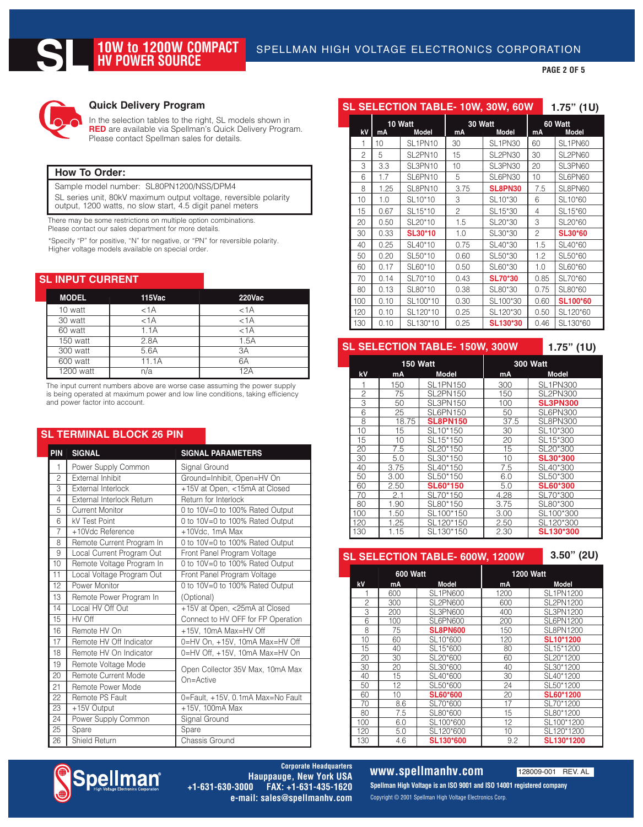**PAGE 2 OF 5**



**SL**

#### **Quick Delivery Program**

**HV POWER SOURCE**

In the selection tables to the right, SL models shown in **RED** are available via Spellman's Quick Delivery Program. Please contact Spellman sales for details.

### **How To Order:**

Sample model number: SL80PN1200/NSS/DPM4

SL series unit, 80kV maximum output voltage, reversible polarity output, 1200 watts, no slow start, 4.5 digit panel meters

There may be some restrictions on multiple option combinations. Please contact our sales department for more details.

\*Specify "P" for positive, "N" for negative, or "PN" for reversible polarity. Higher voltage models available on special order.

#### **SL INPUT CURRENT**

| <b>MODEL</b> | 115Vac    | <b>220Vac</b> |
|--------------|-----------|---------------|
| 10 watt      | $<$ 1 $A$ | $<$ 1 $A$     |
| 30 watt      | $<$ 1 $A$ | $<$ 1 $A$     |
| 60 watt      | 1.1A      | $<$ 1 $A$     |
| 150 watt     | 2.8A      | 1.5A          |
| 300 watt     | 5.6A      | 3A            |
| 600 watt     | 11.1A     | 6A            |
| 1200 watt    | n/a       | 12A           |

The input current numbers above are worse case assuming the power supply is being operated at maximum power and low line conditions, taking efficiency and power factor into account.

### **SL TERMINAL BLOCK 26 PIN**

| <b>PIN</b>               | <b>SIGNAL</b>              | <b>SIGNAL PARAMETERS</b>                      |  |
|--------------------------|----------------------------|-----------------------------------------------|--|
| 1                        | Power Supply Common        | Signal Ground                                 |  |
| $\overline{c}$           | External Inhibit           | Ground=Inhibit, Open=HV On                    |  |
| $\overline{\mathcal{E}}$ | External Interlock         | +15V at Open, <15mA at Closed                 |  |
| $\overline{4}$           | External Interlock Return  | Return for Interlock                          |  |
| 5                        | <b>Current Monitor</b>     | 0 to 10V=0 to 100% Rated Output               |  |
| 6                        | kV Test Point              | 0 to 10V=0 to 100% Rated Output               |  |
| $\overline{7}$           | +10Vdc Reference           | +10Vdc, 1mA Max                               |  |
| 8                        | Remote Current Program In  | 0 to 10V=0 to 100% Rated Output               |  |
| 9                        | Local Current Program Out  | Front Panel Program Voltage                   |  |
| 10                       | Remote Voltage Program In  | 0 to 10V=0 to 100% Rated Output               |  |
| $\overline{11}$          | Local Voltage Program Out  | Front Panel Program Voltage                   |  |
| 12                       | Power Monitor              | 0 to 10V=0 to 100% Rated Output               |  |
| 13                       | Remote Power Program In    | (Optional)                                    |  |
| $\overline{14}$          | Local HV Off Out           | +15V at Open, <25mA at Closed                 |  |
| 15                       | HV Off                     | Connect to HV OFF for FP Operation            |  |
| 16                       | Remote HV On               | +15V, 10mA Max=HV Off                         |  |
| 17                       | Remote HV Off Indicator    | 0=HV On, +15V, 10mA Max=HV Off                |  |
| 18                       | Remote HV On Indicator     | 0=HV Off, +15V, 10mA Max=HV On                |  |
| 19                       | Remote Voltage Mode        | Open Collector 35V Max, 10mA Max<br>On=Active |  |
| 20                       | <b>Remote Current Mode</b> |                                               |  |
| 21                       | Remote Power Mode          |                                               |  |
| $\overline{22}$          | Remote PS Fault            | 0=Fault, +15V, 0.1mA Max=No Fault             |  |
| 23                       | +15V Output                | +15V, 100mA Max                               |  |
| 24                       | Power Supply Common        | Signal Ground                                 |  |
| 25                       | Spare                      | Spare                                         |  |
| $\overline{26}$          | Shield Return              | Chassis Ground                                |  |

| SL SELECTION TABLE-10W, 30W, 60W<br>$1.75"$ (1U) |         |                                  |                |                                  |                |                                  |  |
|--------------------------------------------------|---------|----------------------------------|----------------|----------------------------------|----------------|----------------------------------|--|
|                                                  | 10 Watt |                                  | 30 Watt        |                                  | 60 Watt        |                                  |  |
| kV                                               | mA      | Model                            | mA             | Model                            | mA             | <b>Model</b>                     |  |
| 1                                                | 10      | SL <sub>1</sub> PN <sub>10</sub> | 30             | SL <sub>1</sub> PN <sub>30</sub> | 60             | SL <sub>1</sub> PN <sub>60</sub> |  |
| 2                                                | 5       | SL2PN10                          | 15             | SL2PN30                          | 30             | SL2PN60                          |  |
| 3                                                | 3.3     | SL3PN10                          | 10             | SL3PN30                          | 20             | SL3PN60                          |  |
| 6                                                | 1.7     | SL6PN10                          | 5              | SL6PN30                          | 10             | SL6PN60                          |  |
| 8                                                | 1.25    | SL8PN10                          | 3.75           | <b>SL8PN30</b>                   | 7.5            | SL8PN60                          |  |
| 10                                               | 1.0     | SL <sub>10</sub> *10             | 3              | SL10*30                          | 6              | SL10*60                          |  |
| 15                                               | 0.67    | SL <sub>15</sub> *10             | $\overline{c}$ | SL <sub>15</sub> *30             | 4              | SL <sub>15</sub> *60             |  |
| 20                                               | 0.50    | SL20*10                          | 1.5            | SL20*30                          | 3              | SL20*60                          |  |
| 30                                               | 0.33    | <b>SL30*10</b>                   | 1.0            | SL30*30                          | $\overline{c}$ | <b>SL30*60</b>                   |  |
| 40                                               | 0.25    | SL40*10                          | 0.75           | SL40*30                          | 1.5            | SL40*60                          |  |
| 50                                               | 0.20    | SL50*10                          | 0.60           | SL50*30                          | 1.2            | SL50*60                          |  |
| 60                                               | 0.17    | SL60*10                          | 0.50           | SL60*30                          | 1.0            | SL60*60                          |  |
| 70                                               | 0.14    | SL70*10                          | 0.43           | <b>SL70*30</b>                   | 0.85           | SL70*60                          |  |
| 80                                               | 0.13    | SL80*10                          | 0.38           | SL80*30                          | 0.75           | SL80*60                          |  |
| 100                                              | 0.10    | SL100*10                         | 0.30           | SL100*30                         | 0.60           | <b>SL100*60</b>                  |  |
| 120                                              | 0.10    | SL120*10                         | 0.25           | SL120*30                         | 0.50           | SL120*60                         |  |
| 130                                              | 0.10    | SL130*10                         | 0.25           | SL130*30                         | 0.46           | SL130*60                         |  |

### **SL SELECTION TABLE- 150W, 300W 1.75" (1U)**

|     | <b>150 Watt</b> |                        | 300 Watt        |                                   |  |
|-----|-----------------|------------------------|-----------------|-----------------------------------|--|
| kV  | mA              | Model                  | mA              | Model                             |  |
|     | 150             | <b>SL1PN150</b>        | 300             | SL <sub>1</sub> PN <sub>300</sub> |  |
| 2   | 75              | <b>SL2PN150</b>        | 150             | SL2PN300                          |  |
| 3   | 50              | <b>SL3PN150</b>        | 100             | <b>SL3PN300</b>                   |  |
| 6   | 25              | <b>SL6PN150</b>        | 50              | SL6PN300                          |  |
| 8   | 18.75           | <b>SL8PN150</b>        | 37.5            | SL8PN300                          |  |
| 10  | 15              | SL <sub>10</sub> *150  | 30              | SL10*300                          |  |
| 15  | 10              | SL <sub>15</sub> *150  | 20              | SL15*300                          |  |
| 20  | 7.5             | SL20*150               | $\overline{15}$ | SL20*300                          |  |
| 30  | 5.0             | SL30*150               | 10              | <b>SL30*300</b>                   |  |
| 40  | 3.75            | SL40*150               | 7.5             | SL40*300                          |  |
| 50  | 3.00            | SL50*150               | 6.0             | SL50*300                          |  |
| 60  | 2.50            | SL60*150               | 5.0             | <b>SL60*300</b>                   |  |
| 70  | 2.1             | SL70*150               | 4.28            | SL70*300                          |  |
| 80  | 1.90            | SL80*150               | 3.75            | SL80*300                          |  |
| 100 | 1.50            | SL <sub>100</sub> *150 | 3.00            | SL100*300                         |  |
| 120 | 1.25            | SL120*150              | 2.50            | SL120*300                         |  |
| 130 | 1.15            | SL130*150              | 2.30            | SL130*300                         |  |

#### **SL SELECTION TABLE- 600W, 1200W 3.50" (2U)**

|     | <b>600 Watt</b> |                 | <b>1200 Watt</b> |                  |  |
|-----|-----------------|-----------------|------------------|------------------|--|
| kV  | mA              | <b>Model</b>    | mA               | <b>Model</b>     |  |
|     | 600             | <b>SL1PN600</b> | 1200             | <b>SL1PN1200</b> |  |
| 2   | 300             | <b>SL2PN600</b> | 600              | SL2PN1200        |  |
| 3   | 200             | SL3PN600        | 400              | SL3PN1200        |  |
| 6   | 100             | SL6PN600        | 200              | <b>SL6PN1200</b> |  |
| 8   | 75              | <b>SL8PN600</b> | 150              | <b>SL8PN1200</b> |  |
| 10  | 60              | SL10*600        | 120              | SL10*1200        |  |
| 15  | 40              | SL15*600        | 80               | SL15*1200        |  |
| 20  | 30              | SL20*600        | 60               | SL20*1200        |  |
| 30  | 20              | SL30*600        | 40               | SL30*1200        |  |
| 40  | 15              | SL40*600        | 30               | SL40*1200        |  |
| 50  | 12              | SL50*600        | 24               | SL50*1200        |  |
| 60  | 10              | <b>SL60*600</b> | 20               | SL60*1200        |  |
| 70  | 8.6             | SL70*600        | 17               | SL70*1200        |  |
| 80  | 7.5             | SL80*600        | 15               | SL80*1200        |  |
| 100 | 6.0             | SL100*600       | 12               | SL100*1200       |  |
| 120 | 5.0             | SL120*600       | 10               | SL120*1200       |  |
| 130 | 4.6             | SL130*600       | 9.2              | SL130*1200       |  |



**Corporate Headquarters Hauppauge, New York USA +1-631-630-3000 FAX: +1-631-435-1620 e-mail: sales@spellmanhv.com**

**WWW.Spellmanhv.com** 128009-001 REV. AL **Spellman High Voltage is an ISO 9001 and ISO 14001 registered company**  Copyright © 2001 Spellman High Voltage Electronics Corp.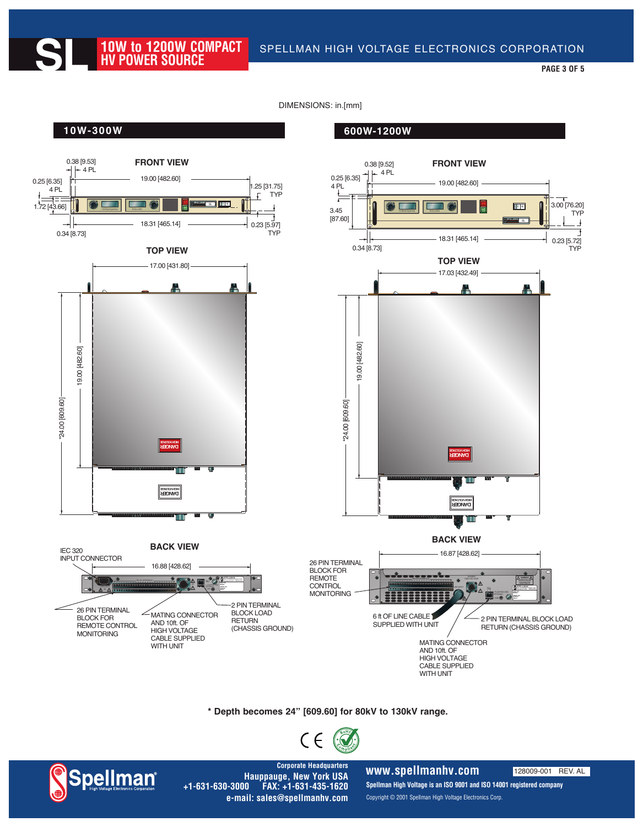**SLEEP TOW TO SPELLMAN HIGH VOLTAGE ELECTRONICS CORPORATION HIGH SOURCE** 

DIMENSIONS: in.[mm]

**HV POWER SOURCE**

**[SPELLMAN HIGH VOLTAGE ELECTRONICS CORPORATION](www.spellmanhv.com)** 



**\* Depth becomes 24" [609.60] for 80kV to 130kV range.**





**Corporate Headquarters Hauppauge, New York USA +1-631-630-3000 FAX: +1-631-435-1620 e-mail: sales@spellmanhv.com**

**WWW.Spellmanhv.com** 128009-001 REV. AL **Spellman High Voltage is an ISO 9001 and ISO 14001 registered company**  Copyright © 2001 Spellman High Voltage Electronics Corp.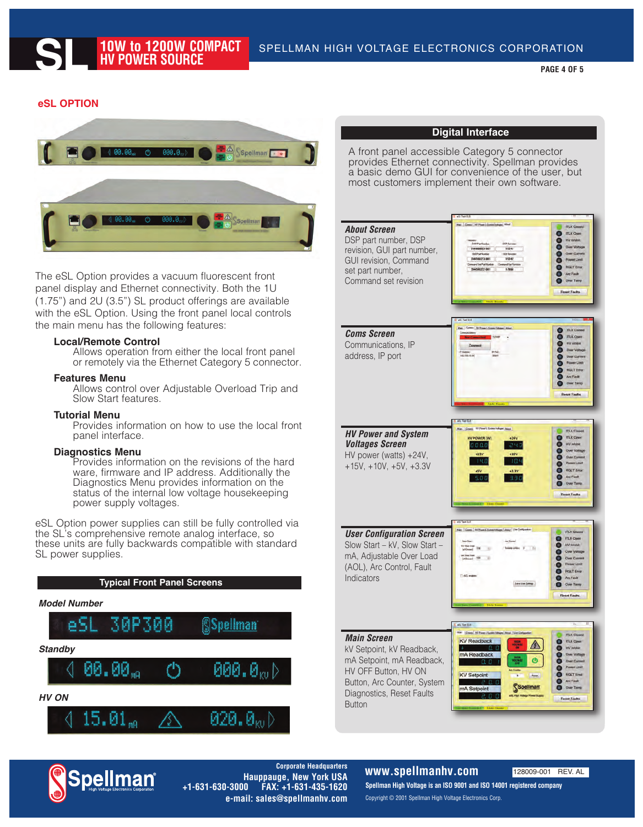### **eSL OPTION**



The eSL Option provides a vacuum fluorescent front panel display and Ethernet connectivity. Both the 1U (1.75") and 2U (3.5") SL product offerings are available with the eSL Option. Using the front panel local controls the main menu has the following features:

#### **Local/Remote Control**

Allows operation from either the local front panel or remotely via the Ethernet Category 5 connector.

#### **Features Menu**

Allows control over Adjustable Overload Trip and Slow Start features.

#### **Tutorial Menu**

Provides information on how to use the local front panel interface.

#### **Diagnostics Menu**

Provides information on the revisions of the hard ware, firmware and IP address. Additionally the Diagnostics Menu provides information on the status of the internal low voltage housekeeping power supply voltages.

eSL Option power supplies can still be fully controlled via the SL's comprehensive remote analog interface, so these units are fully backwards compatible with standard SL power supplies.

**Typical Front Panel Screens** *Model Number* 30P300 pellman *Standby* 00.00<sub>m</sub> 000.0<sub>kv</sub> *HV ON*  $5.01_m$ 020.0m

#### **Digital Interface**

A front panel accessible Category 5 connector provides Ethernet connectivity. Spellman provides a basic demo GUI for convenience of the user, but most customers implement their own software.





**Corporate Headquarters Hauppauge, New York USA +1-631-630-3000 FAX: +1-631-435-1620 e-mail: sales@spellmanhv.com**

#### **WWW.Spellmanhv.com** 128009-001 REV. AL **Spellman High Voltage is an ISO 9001 and ISO 14001 registered company**

Copyright © 2001 Spellman High Voltage Electronics Corp.